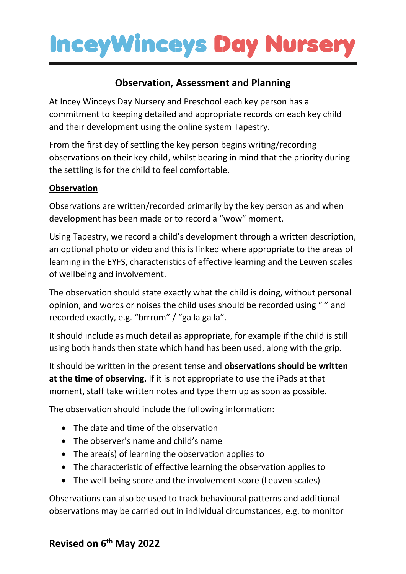## **InceyWinceys Day Nurser**

### **Observation, Assessment and Planning**

At Incey Winceys Day Nursery and Preschool each key person has a commitment to keeping detailed and appropriate records on each key child and their development using the online system Tapestry.

From the first day of settling the key person begins writing/recording observations on their key child, whilst bearing in mind that the priority during the settling is for the child to feel comfortable.

### **Observation**

Observations are written/recorded primarily by the key person as and when development has been made or to record a "wow" moment.

Using Tapestry, we record a child's development through a written description, an optional photo or video and this is linked where appropriate to the areas of learning in the EYFS, characteristics of effective learning and the Leuven scales of wellbeing and involvement.

The observation should state exactly what the child is doing, without personal opinion, and words or noises the child uses should be recorded using " " and recorded exactly, e.g. "brrrum" / "ga la ga la".

It should include as much detail as appropriate, for example if the child is still using both hands then state which hand has been used, along with the grip.

It should be written in the present tense and **observations should be written at the time of observing.** If it is not appropriate to use the iPads at that moment, staff take written notes and type them up as soon as possible.

The observation should include the following information:

- The date and time of the observation
- The observer's name and child's name
- The area(s) of learning the observation applies to
- The characteristic of effective learning the observation applies to
- The well-being score and the involvement score (Leuven scales)

Observations can also be used to track behavioural patterns and additional observations may be carried out in individual circumstances, e.g. to monitor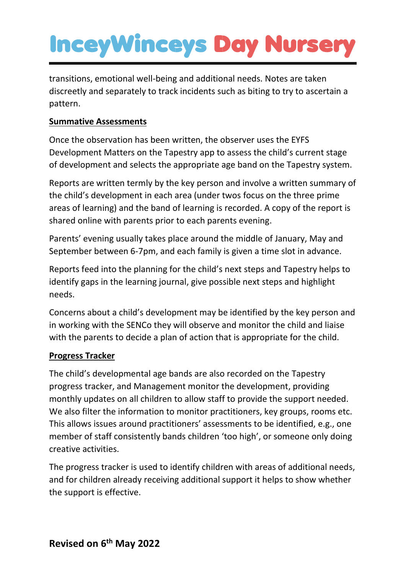# **InceyWinceys Day Nurser**

transitions, emotional well-being and additional needs. Notes are taken discreetly and separately to track incidents such as biting to try to ascertain a pattern.

#### **Summative Assessments**

Once the observation has been written, the observer uses the EYFS Development Matters on the Tapestry app to assess the child's current stage of development and selects the appropriate age band on the Tapestry system.

Reports are written termly by the key person and involve a written summary of the child's development in each area (under twos focus on the three prime areas of learning) and the band of learning is recorded. A copy of the report is shared online with parents prior to each parents evening.

Parents' evening usually takes place around the middle of January, May and September between 6-7pm, and each family is given a time slot in advance.

Reports feed into the planning for the child's next steps and Tapestry helps to identify gaps in the learning journal, give possible next steps and highlight needs.

Concerns about a child's development may be identified by the key person and in working with the SENCo they will observe and monitor the child and liaise with the parents to decide a plan of action that is appropriate for the child.

#### **Progress Tracker**

The child's developmental age bands are also recorded on the Tapestry progress tracker, and Management monitor the development, providing monthly updates on all children to allow staff to provide the support needed. We also filter the information to monitor practitioners, key groups, rooms etc. This allows issues around practitioners' assessments to be identified, e.g., one member of staff consistently bands children 'too high', or someone only doing creative activities.

The progress tracker is used to identify children with areas of additional needs, and for children already receiving additional support it helps to show whether the support is effective.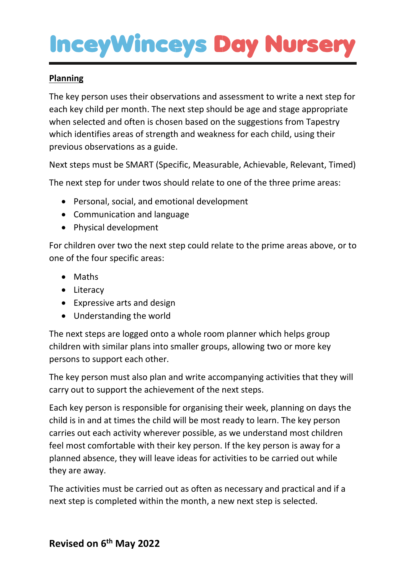## **InceyWinceys Day Nurser**

#### **Planning**

The key person uses their observations and assessment to write a next step for each key child per month. The next step should be age and stage appropriate when selected and often is chosen based on the suggestions from Tapestry which identifies areas of strength and weakness for each child, using their previous observations as a guide.

Next steps must be SMART (Specific, Measurable, Achievable, Relevant, Timed)

The next step for under twos should relate to one of the three prime areas:

- Personal, social, and emotional development
- Communication and language
- Physical development

For children over two the next step could relate to the prime areas above, or to one of the four specific areas:

- Maths
- Literacy
- Expressive arts and design
- Understanding the world

The next steps are logged onto a whole room planner which helps group children with similar plans into smaller groups, allowing two or more key persons to support each other.

The key person must also plan and write accompanying activities that they will carry out to support the achievement of the next steps.

Each key person is responsible for organising their week, planning on days the child is in and at times the child will be most ready to learn. The key person carries out each activity wherever possible, as we understand most children feel most comfortable with their key person. If the key person is away for a planned absence, they will leave ideas for activities to be carried out while they are away.

The activities must be carried out as often as necessary and practical and if a next step is completed within the month, a new next step is selected.